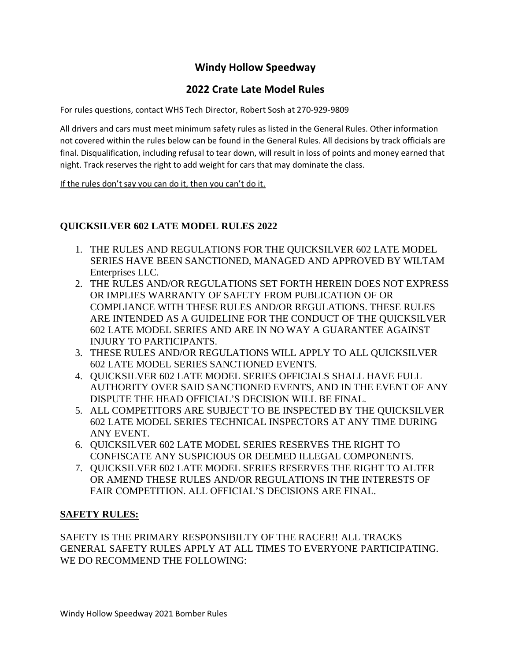# **Windy Hollow Speedway**

# **2022 Crate Late Model Rules**

For rules questions, contact WHS Tech Director, Robert Sosh at 270-929-9809

All drivers and cars must meet minimum safety rules as listed in the General Rules. Other information not covered within the rules below can be found in the General Rules. All decisions by track officials are final. Disqualification, including refusal to tear down, will result in loss of points and money earned that night. Track reserves the right to add weight for cars that may dominate the class.

If the rules don't say you can do it, then you can't do it.

### **QUICKSILVER 602 LATE MODEL RULES 2022**

- 1. THE RULES AND REGULATIONS FOR THE QUICKSILVER 602 LATE MODEL SERIES HAVE BEEN SANCTIONED, MANAGED AND APPROVED BY WILTAM Enterprises LLC.
- 2. THE RULES AND/OR REGULATIONS SET FORTH HEREIN DOES NOT EXPRESS OR IMPLIES WARRANTY OF SAFETY FROM PUBLICATION OF OR COMPLIANCE WITH THESE RULES AND/OR REGULATIONS. THESE RULES ARE INTENDED AS A GUIDELINE FOR THE CONDUCT OF THE QUICKSILVER 602 LATE MODEL SERIES AND ARE IN NO WAY A GUARANTEE AGAINST INJURY TO PARTICIPANTS.
- 3. THESE RULES AND/OR REGULATIONS WILL APPLY TO ALL QUICKSILVER 602 LATE MODEL SERIES SANCTIONED EVENTS.
- 4. QUICKSILVER 602 LATE MODEL SERIES OFFICIALS SHALL HAVE FULL AUTHORITY OVER SAID SANCTIONED EVENTS, AND IN THE EVENT OF ANY DISPUTE THE HEAD OFFICIAL'S DECISION WILL BE FINAL.
- 5. ALL COMPETITORS ARE SUBJECT TO BE INSPECTED BY THE QUICKSILVER 602 LATE MODEL SERIES TECHNICAL INSPECTORS AT ANY TIME DURING ANY EVENT.
- 6. QUICKSILVER 602 LATE MODEL SERIES RESERVES THE RIGHT TO CONFISCATE ANY SUSPICIOUS OR DEEMED ILLEGAL COMPONENTS.
- 7. QUICKSILVER 602 LATE MODEL SERIES RESERVES THE RIGHT TO ALTER OR AMEND THESE RULES AND/OR REGULATIONS IN THE INTERESTS OF FAIR COMPETITION. ALL OFFICIAL'S DECISIONS ARE FINAL.

### **SAFETY RULES:**

SAFETY IS THE PRIMARY RESPONSIBILTY OF THE RACER!! ALL TRACKS GENERAL SAFETY RULES APPLY AT ALL TIMES TO EVERYONE PARTICIPATING. WE DO RECOMMEND THE FOLLOWING: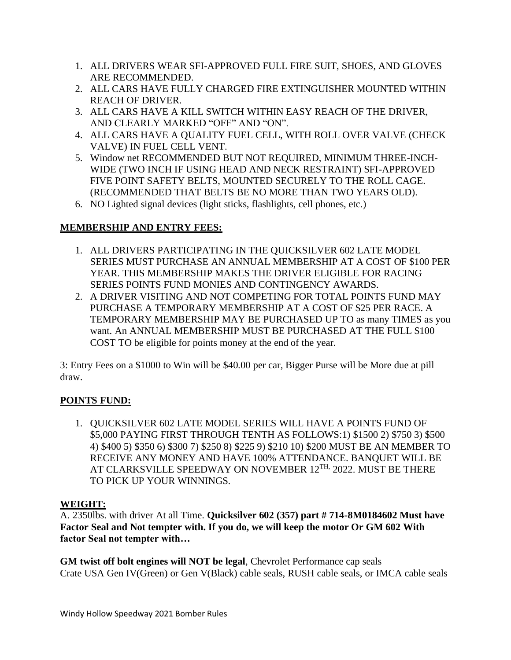- 1. ALL DRIVERS WEAR SFI-APPROVED FULL FIRE SUIT, SHOES, AND GLOVES ARE RECOMMENDED.
- 2. ALL CARS HAVE FULLY CHARGED FIRE EXTINGUISHER MOUNTED WITHIN REACH OF DRIVER.
- 3. ALL CARS HAVE A KILL SWITCH WITHIN EASY REACH OF THE DRIVER, AND CLEARLY MARKED "OFF" AND "ON".
- 4. ALL CARS HAVE A QUALITY FUEL CELL, WITH ROLL OVER VALVE (CHECK VALVE) IN FUEL CELL VENT.
- 5. Window net RECOMMENDED BUT NOT REQUIRED, MINIMUM THREE-INCH-WIDE (TWO INCH IF USING HEAD AND NECK RESTRAINT) SFI-APPROVED FIVE POINT SAFETY BELTS, MOUNTED SECURELY TO THE ROLL CAGE. (RECOMMENDED THAT BELTS BE NO MORE THAN TWO YEARS OLD).
- 6. NO Lighted signal devices (light sticks, flashlights, cell phones, etc.)

# **MEMBERSHIP AND ENTRY FEES:**

- 1. ALL DRIVERS PARTICIPATING IN THE QUICKSILVER 602 LATE MODEL SERIES MUST PURCHASE AN ANNUAL MEMBERSHIP AT A COST OF \$100 PER YEAR. THIS MEMBERSHIP MAKES THE DRIVER ELIGIBLE FOR RACING SERIES POINTS FUND MONIES AND CONTINGENCY AWARDS.
- 2. A DRIVER VISITING AND NOT COMPETING FOR TOTAL POINTS FUND MAY PURCHASE A TEMPORARY MEMBERSHIP AT A COST OF \$25 PER RACE. A TEMPORARY MEMBERSHIP MAY BE PURCHASED UP TO as many TIMES as you want. An ANNUAL MEMBERSHIP MUST BE PURCHASED AT THE FULL \$100 COST TO be eligible for points money at the end of the year.

3: Entry Fees on a \$1000 to Win will be \$40.00 per car, Bigger Purse will be More due at pill draw.

# **POINTS FUND:**

1. QUICKSILVER 602 LATE MODEL SERIES WILL HAVE A POINTS FUND OF \$5,000 PAYING FIRST THROUGH TENTH AS FOLLOWS:1) \$1500 2) \$750 3) \$500 4) \$400 5) \$350 6) \$300 7) \$250 8) \$225 9) \$210 10) \$200 MUST BE AN MEMBER TO RECEIVE ANY MONEY AND HAVE 100% ATTENDANCE. BANQUET WILL BE AT CLARKSVILLE SPEEDWAY ON NOVEMBER 12<sup>TH,</sup> 2022. MUST BE THERE TO PICK UP YOUR WINNINGS.

### **WEIGHT:**

A. 2350lbs. with driver At all Time. **Quicksilver 602 (357) part # 714-8M0184602 Must have Factor Seal and Not tempter with. If you do, we will keep the motor Or GM 602 With factor Seal not tempter with…**

**GM twist off bolt engines will NOT be legal**, Chevrolet Performance cap seals Crate USA Gen IV(Green) or Gen V(Black) cable seals, RUSH cable seals, or IMCA cable seals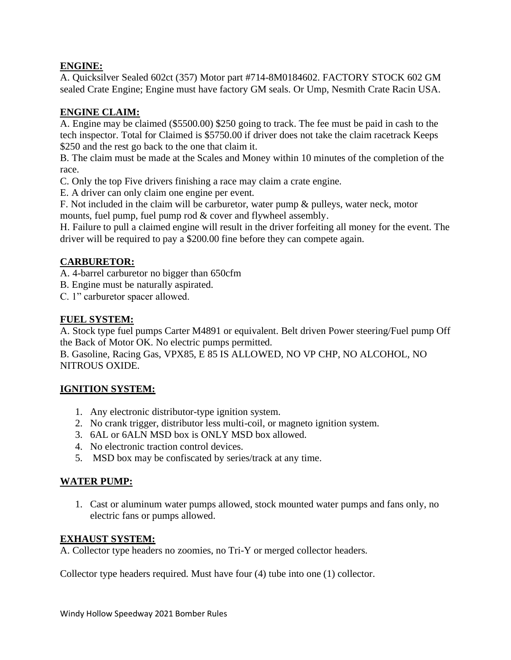### **ENGINE:**

A. Quicksilver Sealed 602ct (357) Motor part #714-8M0184602. FACTORY STOCK 602 GM sealed Crate Engine; Engine must have factory GM seals. Or Ump, Nesmith Crate Racin USA.

# **ENGINE CLAIM:**

A. Engine may be claimed (\$5500.00) \$250 going to track. The fee must be paid in cash to the tech inspector. Total for Claimed is \$5750.00 if driver does not take the claim racetrack Keeps \$250 and the rest go back to the one that claim it.

B. The claim must be made at the Scales and Money within 10 minutes of the completion of the race.

C. Only the top Five drivers finishing a race may claim a crate engine.

E. A driver can only claim one engine per event.

F. Not included in the claim will be carburetor, water pump & pulleys, water neck, motor mounts, fuel pump, fuel pump rod & cover and flywheel assembly.

H. Failure to pull a claimed engine will result in the driver forfeiting all money for the event. The driver will be required to pay a \$200.00 fine before they can compete again.

# **CARBURETOR:**

A. 4-barrel carburetor no bigger than 650cfm

- B. Engine must be naturally aspirated.
- C. 1" carburetor spacer allowed.

### **FUEL SYSTEM:**

A. Stock type fuel pumps Carter M4891 or equivalent. Belt driven Power steering/Fuel pump Off the Back of Motor OK. No electric pumps permitted.

B. Gasoline, Racing Gas, VPX85, E 85 IS ALLOWED, NO VP CHP, NO ALCOHOL, NO NITROUS OXIDE.

### **IGNITION SYSTEM:**

- 1. Any electronic distributor-type ignition system.
- 2. No crank trigger, distributor less multi-coil, or magneto ignition system.
- 3. 6AL or 6ALN MSD box is ONLY MSD box allowed.
- 4. No electronic traction control devices.
- 5. MSD box may be confiscated by series/track at any time.

### **WATER PUMP:**

1. Cast or aluminum water pumps allowed, stock mounted water pumps and fans only, no electric fans or pumps allowed.

### **EXHAUST SYSTEM:**

A. Collector type headers no zoomies, no Tri-Y or merged collector headers.

Collector type headers required. Must have four (4) tube into one (1) collector.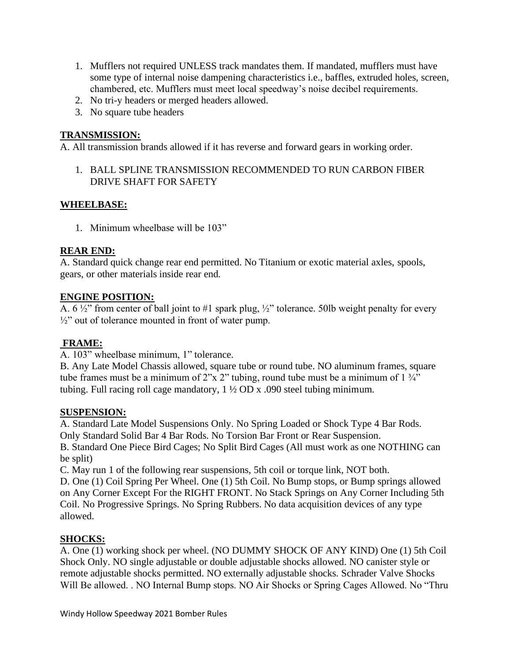- 1. Mufflers not required UNLESS track mandates them. If mandated, mufflers must have some type of internal noise dampening characteristics i.e., baffles, extruded holes, screen, chambered, etc. Mufflers must meet local speedway's noise decibel requirements.
- 2. No tri-y headers or merged headers allowed.
- 3. No square tube headers

### **TRANSMISSION:**

A. All transmission brands allowed if it has reverse and forward gears in working order.

1. BALL SPLINE TRANSMISSION RECOMMENDED TO RUN CARBON FIBER DRIVE SHAFT FOR SAFETY

### **WHEELBASE:**

1. Minimum wheelbase will be 103"

### **REAR END:**

A. Standard quick change rear end permitted. No Titanium or exotic material axles, spools, gears, or other materials inside rear end.

### **ENGINE POSITION:**

A. 6 ½" from center of ball joint to #1 spark plug, ½" tolerance. 50lb weight penalty for every  $\frac{1}{2}$ " out of tolerance mounted in front of water pump.

# **FRAME:**

A. 103" wheelbase minimum, 1" tolerance.

B. Any Late Model Chassis allowed, square tube or round tube. NO aluminum frames, square tube frames must be a minimum of 2"x 2" tubing, round tube must be a minimum of  $1\frac{3}{4}$ " tubing. Full racing roll cage mandatory,  $1\frac{1}{2}$  OD x .090 steel tubing minimum.

### **SUSPENSION:**

A. Standard Late Model Suspensions Only. No Spring Loaded or Shock Type 4 Bar Rods. Only Standard Solid Bar 4 Bar Rods. No Torsion Bar Front or Rear Suspension. B. Standard One Piece Bird Cages; No Split Bird Cages (All must work as one NOTHING can be split)

C. May run 1 of the following rear suspensions, 5th coil or torque link, NOT both.

D. One (1) Coil Spring Per Wheel. One (1) 5th Coil. No Bump stops, or Bump springs allowed on Any Corner Except For the RIGHT FRONT. No Stack Springs on Any Corner Including 5th Coil. No Progressive Springs. No Spring Rubbers. No data acquisition devices of any type allowed.

# **SHOCKS:**

A. One (1) working shock per wheel. (NO DUMMY SHOCK OF ANY KIND) One (1) 5th Coil Shock Only. NO single adjustable or double adjustable shocks allowed. NO canister style or remote adjustable shocks permitted. NO externally adjustable shocks. Schrader Valve Shocks Will Be allowed. . NO Internal Bump stops. NO Air Shocks or Spring Cages Allowed. No "Thru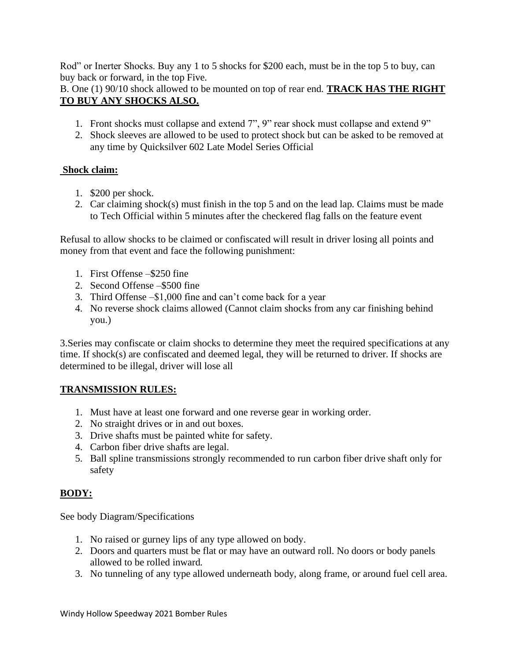Rod" or Inerter Shocks. Buy any 1 to 5 shocks for \$200 each, must be in the top 5 to buy, can buy back or forward, in the top Five.

B. One (1) 90/10 shock allowed to be mounted on top of rear end. **TRACK HAS THE RIGHT TO BUY ANY SHOCKS ALSO.**

- 1. Front shocks must collapse and extend 7", 9" rear shock must collapse and extend 9"
- 2. Shock sleeves are allowed to be used to protect shock but can be asked to be removed at any time by Quicksilver 602 Late Model Series Official

### **Shock claim:**

- 1. \$200 per shock.
- 2. Car claiming shock(s) must finish in the top 5 and on the lead lap. Claims must be made to Tech Official within 5 minutes after the checkered flag falls on the feature event

Refusal to allow shocks to be claimed or confiscated will result in driver losing all points and money from that event and face the following punishment:

- 1. First Offense –\$250 fine
- 2. Second Offense –\$500 fine
- 3. Third Offense –\$1,000 fine and can't come back for a year
- 4. No reverse shock claims allowed (Cannot claim shocks from any car finishing behind you.)

3.Series may confiscate or claim shocks to determine they meet the required specifications at any time. If shock(s) are confiscated and deemed legal, they will be returned to driver. If shocks are determined to be illegal, driver will lose all

# **TRANSMISSION RULES:**

- 1. Must have at least one forward and one reverse gear in working order.
- 2. No straight drives or in and out boxes.
- 3. Drive shafts must be painted white for safety.
- 4. Carbon fiber drive shafts are legal.
- 5. Ball spline transmissions strongly recommended to run carbon fiber drive shaft only for safety

# **BODY:**

See body Diagram/Specifications

- 1. No raised or gurney lips of any type allowed on body.
- 2. Doors and quarters must be flat or may have an outward roll. No doors or body panels allowed to be rolled inward.
- 3. No tunneling of any type allowed underneath body, along frame, or around fuel cell area.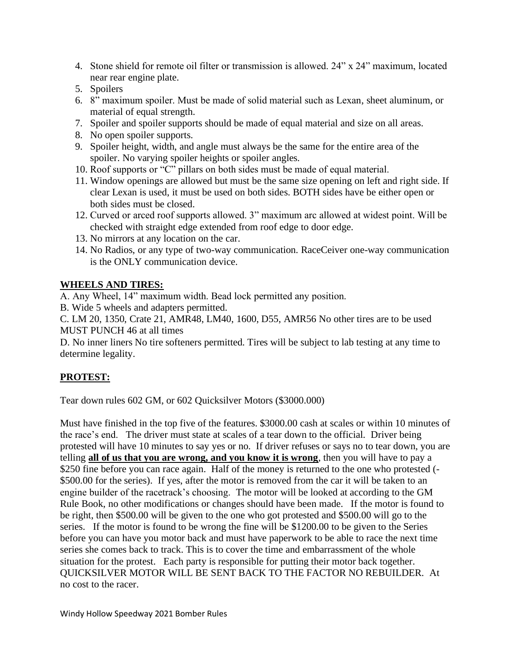- 4. Stone shield for remote oil filter or transmission is allowed. 24" x 24" maximum, located near rear engine plate.
- 5. Spoilers
- 6. 8" maximum spoiler. Must be made of solid material such as Lexan, sheet aluminum, or material of equal strength.
- 7. Spoiler and spoiler supports should be made of equal material and size on all areas.
- 8. No open spoiler supports.
- 9. Spoiler height, width, and angle must always be the same for the entire area of the spoiler. No varying spoiler heights or spoiler angles.
- 10. Roof supports or "C" pillars on both sides must be made of equal material.
- 11. Window openings are allowed but must be the same size opening on left and right side. If clear Lexan is used, it must be used on both sides. BOTH sides have be either open or both sides must be closed.
- 12. Curved or arced roof supports allowed. 3" maximum arc allowed at widest point. Will be checked with straight edge extended from roof edge to door edge.
- 13. No mirrors at any location on the car.
- 14. No Radios, or any type of two-way communication. RaceCeiver one-way communication is the ONLY communication device.

### **WHEELS AND TIRES:**

A. Any Wheel, 14" maximum width. Bead lock permitted any position.

B. Wide 5 wheels and adapters permitted.

C. LM 20, 1350, Crate 21, AMR48, LM40, 1600, D55, AMR56 No other tires are to be used MUST PUNCH 46 at all times

D. No inner liners No tire softeners permitted. Tires will be subject to lab testing at any time to determine legality.

# **PROTEST:**

Tear down rules 602 GM, or 602 Quicksilver Motors (\$3000.000)

Must have finished in the top five of the features. \$3000.00 cash at scales or within 10 minutes of the race's end. The driver must state at scales of a tear down to the official. Driver being protested will have 10 minutes to say yes or no. If driver refuses or says no to tear down, you are telling **all of us that you are wrong, and you know it is wrong**, then you will have to pay a \$250 fine before you can race again. Half of the money is returned to the one who protested (-\$500.00 for the series). If yes, after the motor is removed from the car it will be taken to an engine builder of the racetrack's choosing. The motor will be looked at according to the GM Rule Book, no other modifications or changes should have been made. If the motor is found to be right, then \$500.00 will be given to the one who got protested and \$500.00 will go to the series. If the motor is found to be wrong the fine will be \$1200.00 to be given to the Series before you can have you motor back and must have paperwork to be able to race the next time series she comes back to track. This is to cover the time and embarrassment of the whole situation for the protest. Each party is responsible for putting their motor back together. QUICKSILVER MOTOR WILL BE SENT BACK TO THE FACTOR NO REBUILDER. At no cost to the racer.